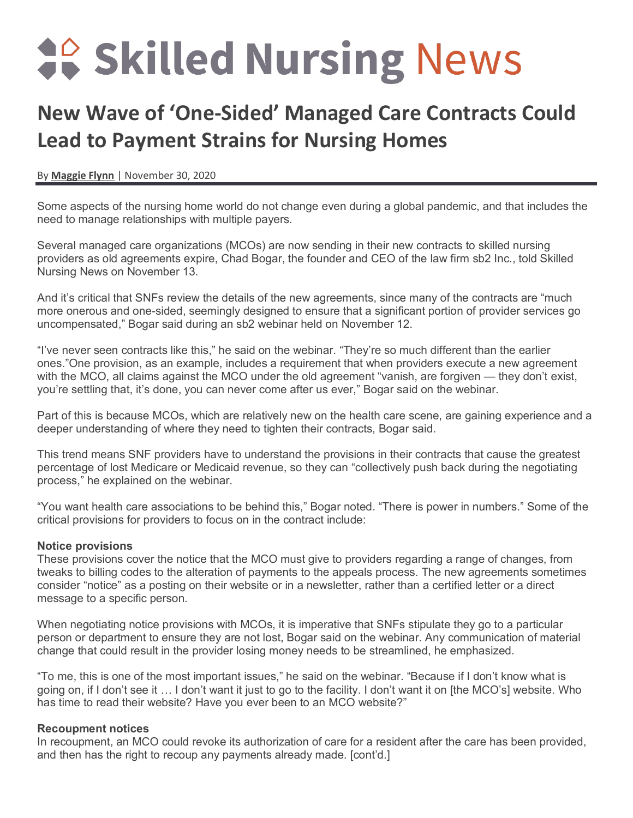# **40 Skilled Nursing News**

# **New Wave of 'One-Sided' Managed Care Contracts Could Lead to Payment Strains for Nursing Homes**

By **[Maggie Flynn](https://skillednursingnews.com/author/mflynn/)** | November 30, 2020

Some aspects of the nursing home world do not change even during a global pandemic, and that includes the need to manage relationships with multiple payers.

Several managed care organizations (MCOs) are now sending in their new contracts to skilled nursing providers as old agreements expire, Chad Bogar, the founder and CEO of the law firm sb2 Inc., told Skilled Nursing News on November 13.

And it's critical that SNFs review the details of the new agreements, since many of the contracts are "much more onerous and one-sided, seemingly designed to ensure that a significant portion of provider services go uncompensated," Bogar said during an sb2 webinar held on November 12.

"I've never seen contracts like this," he said on the webinar. "They're so much different than the earlier ones."One provision, as an example, includes a requirement that when providers execute a new agreement with the MCO, all claims against the MCO under the old agreement "vanish, are forgiven — they don't exist, you're settling that, it's done, you can never come after us ever," Bogar said on the webinar.

Part of this is because MCOs, which are relatively new on the health care scene, are gaining experience and a deeper understanding of where they need to tighten their contracts, Bogar said.

This trend means SNF providers have to understand the provisions in their contracts that cause the greatest percentage of lost Medicare or Medicaid revenue, so they can "collectively push back during the negotiating process," he explained on the webinar.

"You want health care associations to be behind this," Bogar noted. "There is power in numbers." Some of the critical provisions for providers to focus on in the contract include:

#### **Notice provisions**

These provisions cover the notice that the MCO must give to providers regarding a range of changes, from tweaks to billing codes to the alteration of payments to the appeals process. The new agreements sometimes consider "notice" as a posting on their website or in a newsletter, rather than a certified letter or a direct message to a specific person.

When negotiating notice provisions with MCOs, it is imperative that SNFs stipulate they go to a particular person or department to ensure they are not lost, Bogar said on the webinar. Any communication of material change that could result in the provider losing money needs to be streamlined, he emphasized.

"To me, this is one of the most important issues," he said on the webinar. "Because if I don't know what is going on, if I don't see it … I don't want it just to go to the facility. I don't want it on [the MCO's] website. Who has time to read their website? Have you ever been to an MCO website?"

#### **Recoupment notices**

In recoupment, an MCO could revoke its authorization of care for a resident after the care has been provided, and then has the right to recoup any payments already made. [cont'd.]